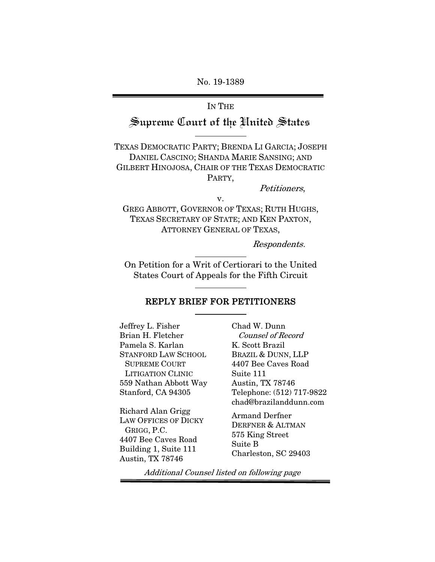No. 19-1389

# IN THE Supreme Court of the United States

TEXAS DEMOCRATIC PARTY; BRENDA LI GARCIA; JOSEPH DANIEL CASCINO; SHANDA MARIE SANSING; AND GILBERT HINOJOSA, CHAIR OF THE TEXAS DEMOCRATIC PARTY,

Petitioners,

v. GREG ABBOTT, GOVERNOR OF TEXAS; RUTH HUGHS, TEXAS SECRETARY OF STATE; AND KEN PAXTON, ATTORNEY GENERAL OF TEXAS,

Respondents.

On Petition for a Writ of Certiorari to the United States Court of Appeals for the Fifth Circuit

### REPLY BRIEF FOR PETITIONERS

Jeffrey L. Fisher Brian H. Fletcher Pamela S. Karlan STANFORD LAW SCHOOL SUPREME COURT LITIGATION CLINIC 559 Nathan Abbott Way Stanford, CA 94305

Richard Alan Grigg LAW OFFICES OF DICKY GRIGG, P.C. 4407 Bee Caves Road Building 1, Suite 111 Austin, TX 78746

Chad W. Dunn Counsel of Record K. Scott Brazil BRAZIL & DUNN, LLP 4407 Bee Caves Road Suite 111 Austin, TX 78746 Telephone: (512) 717-9822 chad@brazilanddunn.com

Armand Derfner DERFNER & ALTMAN 575 King Street Suite B Charleston, SC 29403

Additional Counsel listed on following page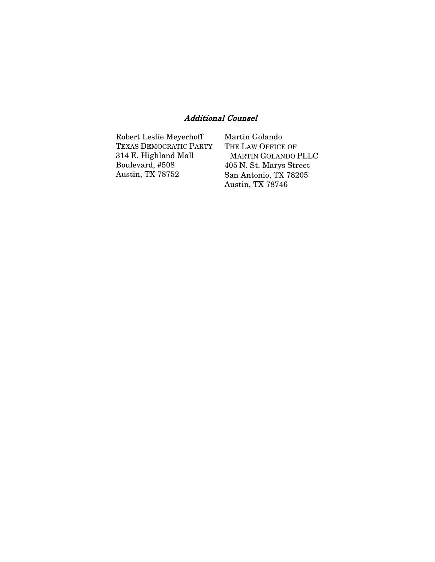### Additional Counsel

| Robert Leslie Meyerhoff | Martin Golando             |
|-------------------------|----------------------------|
| TEXAS DEMOCRATIC PARTY  | THE LAW OFFICE OF          |
| 314 E. Highland Mall    | <b>MARTIN GOLANDO PLLC</b> |
| Boulevard, #508         | 405 N. St. Marys Street    |
| Austin, TX 78752        | San Antonio, TX 78205      |
|                         | Austin, TX 78746           |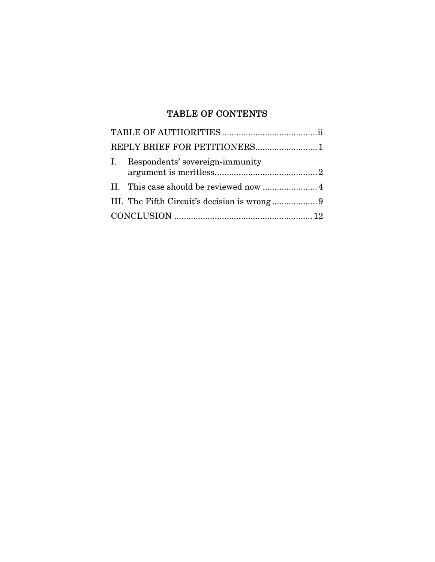#### TABLE OF CONTENTS

| Respondents' sovereign-immunity              |
|----------------------------------------------|
|                                              |
| III. The Fifth Circuit's decision is wrong 9 |
|                                              |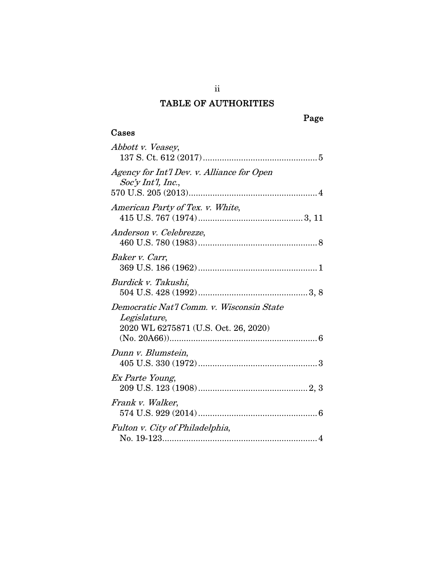## TABLE OF AUTHORITIES

## Cases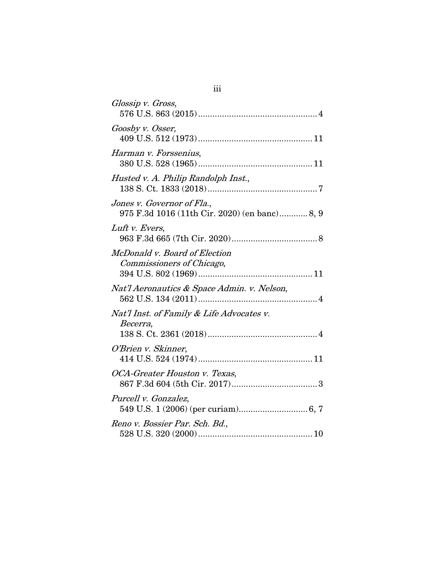| Glossip v. Gross,                                                           |
|-----------------------------------------------------------------------------|
| Goosby v. Osser,                                                            |
| Harman v. Forssenius,                                                       |
| Husted v. A. Philip Randolph Inst.,                                         |
| Jones v. Governor of Fla.,<br>975 F.3d 1016 (11th Cir. 2020) (en banc) 8, 9 |
| Luft v. Evers,                                                              |
| McDonald v. Board of Election<br>Commissioners of Chicago,                  |
| Nat'l Aeronautics & Space Admin. v. Nelson,                                 |
| Nat'l Inst. of Family & Life Advocates v.<br>Becerra,                       |
| O'Brien v. Skinner,                                                         |
| OCA-Greater Houston v. Texas,                                               |
| Purcell v. Gonzalez,                                                        |
| Reno v. Bossier Par. Sch. Bd.,                                              |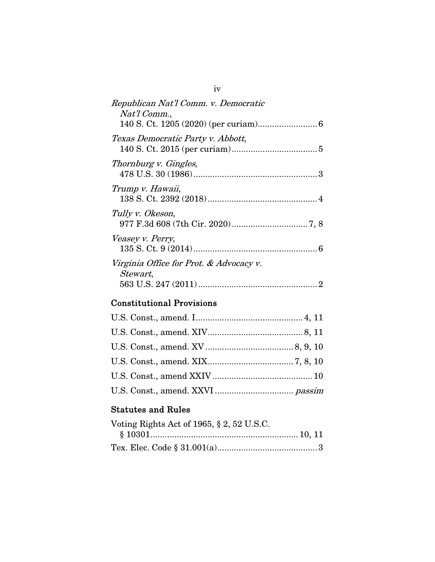| Republican Nat'l Comm. v. Democratic<br>Nat'l Comm.,        |
|-------------------------------------------------------------|
| Texas Democratic Party v. Abbott,                           |
| Thornburg v. Gingles,                                       |
| Trump v. Hawaii,                                            |
| Tully v. Okeson,                                            |
| Veasey v. Perry,<br>6                                       |
| Virginia Office for Prot. & Advocacy v.<br><i>Stewart</i> , |

# Constitutional Provisions

## Statutes and Rules

| Voting Rights Act of 1965, § 2, 52 U.S.C. |  |
|-------------------------------------------|--|
|                                           |  |
|                                           |  |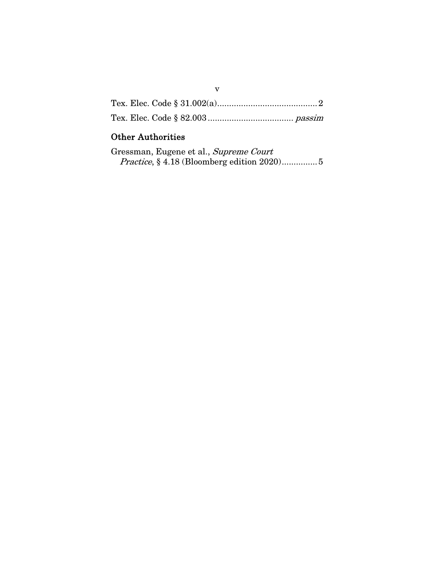## Other Authorities

| Gressman, Eugene et al., Supreme Court            |  |
|---------------------------------------------------|--|
| <i>Practice</i> , §4.18 (Bloomberg edition 2020)5 |  |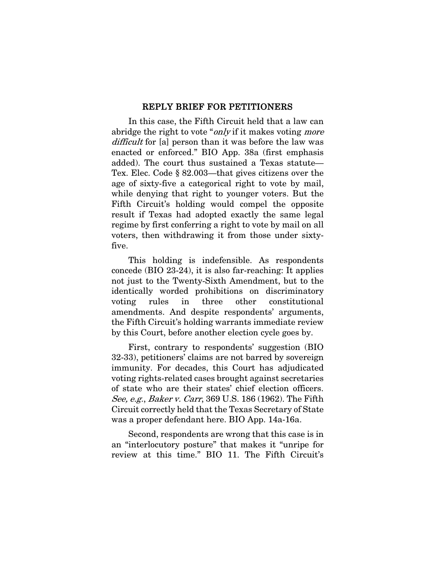#### REPLY BRIEF FOR PETITIONERS

In this case, the Fifth Circuit held that a law can abridge the right to vote "*only* if it makes voting *more* difficult for [a] person than it was before the law was enacted or enforced." BIO App. 38a (first emphasis added). The court thus sustained a Texas statute— Tex. Elec. Code § 82.003—that gives citizens over the age of sixty-five a categorical right to vote by mail, while denying that right to younger voters. But the Fifth Circuit's holding would compel the opposite result if Texas had adopted exactly the same legal regime by first conferring a right to vote by mail on all voters, then withdrawing it from those under sixtyfive.

This holding is indefensible. As respondents concede (BIO 23-24), it is also far-reaching: It applies not just to the Twenty-Sixth Amendment, but to the identically worded prohibitions on discriminatory voting rules in three other constitutional amendments. And despite respondents' arguments, the Fifth Circuit's holding warrants immediate review by this Court, before another election cycle goes by.

First, contrary to respondents' suggestion (BIO 32-33), petitioners' claims are not barred by sovereign immunity. For decades, this Court has adjudicated voting rights-related cases brought against secretaries of state who are their states' chief election officers. See, e.g., Baker v. Carr, 369 U.S. 186 (1962). The Fifth Circuit correctly held that the Texas Secretary of State was a proper defendant here. BIO App. 14a-16a.

Second, respondents are wrong that this case is in an "interlocutory posture" that makes it "unripe for review at this time." BIO 11. The Fifth Circuit's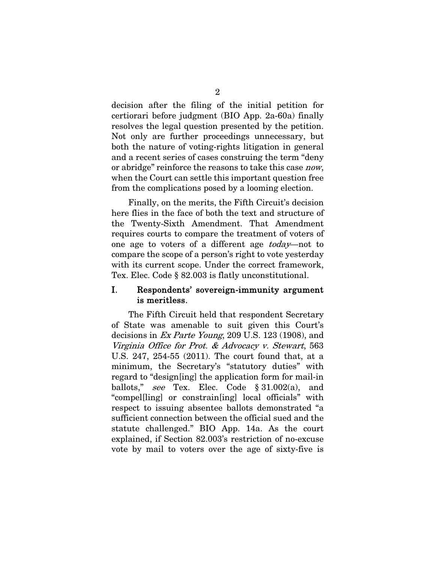decision after the filing of the initial petition for certiorari before judgment (BIO App. 2a-60a) finally resolves the legal question presented by the petition. Not only are further proceedings unnecessary, but both the nature of voting-rights litigation in general and a recent series of cases construing the term "deny or abridge" reinforce the reasons to take this case *now*, when the Court can settle this important question free from the complications posed by a looming election.

Finally, on the merits, the Fifth Circuit's decision here flies in the face of both the text and structure of the Twenty-Sixth Amendment. That Amendment requires courts to compare the treatment of voters of one age to voters of a different age today—not to compare the scope of a person's right to vote yesterday with its current scope. Under the correct framework, Tex. Elec. Code § 82.003 is flatly unconstitutional.

### I. Respondents' sovereign-immunity argument is meritless.

The Fifth Circuit held that respondent Secretary of State was amenable to suit given this Court's decisions in Ex Parte Young, 209 U.S. 123 (1908), and Virginia Office for Prot. & Advocacy v. Stewart, 563 U.S. 247, 254-55 (2011). The court found that, at a minimum, the Secretary's "statutory duties" with regard to "design[ing] the application form for mail-in ballots," see Tex. Elec. Code  $\S 31.002(a)$ , and "compel[ling] or constrain[ing] local officials" with respect to issuing absentee ballots demonstrated "a sufficient connection between the official sued and the statute challenged." BIO App. 14a. As the court explained, if Section 82.003's restriction of no-excuse vote by mail to voters over the age of sixty-five is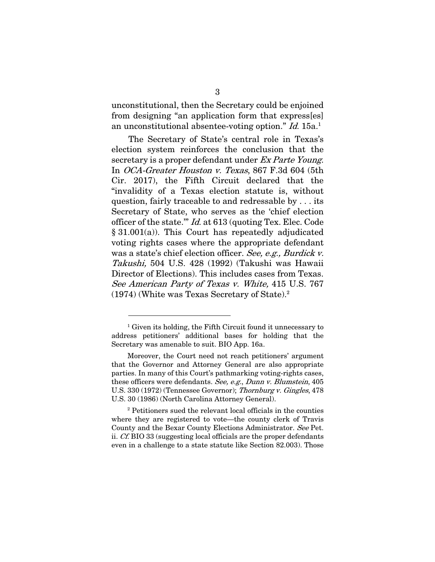unconstitutional, then the Secretary could be enjoined from designing "an application form that express[es] an unconstitutional absentee-voting option." Id. 15a.1

The Secretary of State's central role in Texas's election system reinforces the conclusion that the secretary is a proper defendant under Ex Parte Young. In OCA-Greater Houston v. Texas, 867 F.3d 604 (5th Cir. 2017), the Fifth Circuit declared that the "invalidity of a Texas election statute is, without question, fairly traceable to and redressable by . . . its Secretary of State, who serves as the 'chief election officer of the state.'" Id. at 613 (quoting Tex. Elec. Code § 31.001(a)). This Court has repeatedly adjudicated voting rights cases where the appropriate defendant was a state's chief election officer. See, e.g., Burdick v. Takushi, 504 U.S. 428 (1992) (Takushi was Hawaii Director of Elections). This includes cases from Texas. See American Party of Texas v. White, 415 U.S. 767 (1974) (White was Texas Secretary of State).2

 $\overline{a}$ 

2 Petitioners sued the relevant local officials in the counties where they are registered to vote—the county clerk of Travis County and the Bexar County Elections Administrator. See Pet. ii. Cf. BIO 33 (suggesting local officials are the proper defendants even in a challenge to a state statute like Section 82.003). Those

<sup>&</sup>lt;sup>1</sup> Given its holding, the Fifth Circuit found it unnecessary to address petitioners' additional bases for holding that the Secretary was amenable to suit. BIO App. 16a.

Moreover, the Court need not reach petitioners' argument that the Governor and Attorney General are also appropriate parties. In many of this Court's pathmarking voting-rights cases, these officers were defendants. See, e.g., Dunn v. Blumstein, 405 U.S. 330 (1972) (Tennessee Governor); Thornburg v. Gingles, 478 U.S. 30 (1986) (North Carolina Attorney General).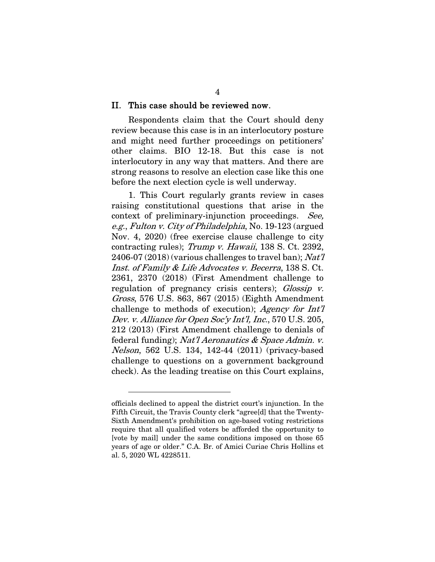#### II. This case should be reviewed now.

Respondents claim that the Court should deny review because this case is in an interlocutory posture and might need further proceedings on petitioners' other claims. BIO 12-18. But this case is not interlocutory in any way that matters. And there are strong reasons to resolve an election case like this one before the next election cycle is well underway.

1. This Court regularly grants review in cases raising constitutional questions that arise in the context of preliminary-injunction proceedings. See, e.g., Fulton v. City of Philadelphia, No. 19-123 (argued Nov. 4, 2020) (free exercise clause challenge to city contracting rules); Trump v. Hawaii, 138 S. Ct. 2392, 2406-07 (2018) (various challenges to travel ban);  $Nat7$ Inst. of Family & Life Advocates v. Becerra, 138 S. Ct. 2361, 2370 (2018) (First Amendment challenge to regulation of pregnancy crisis centers); Glossip v. Gross, 576 U.S. 863, 867 (2015) (Eighth Amendment challenge to methods of execution); Agency for Int'l Dev. v. Alliance for Open Soc'y Int'l, Inc., 570 U.S. 205, 212 (2013) (First Amendment challenge to denials of federal funding); Nat'l Aeronautics & Space Admin. v. Nelson, 562 U.S. 134, 142-44 (2011) (privacy-based challenge to questions on a government background check). As the leading treatise on this Court explains,

 $\overline{a}$ 

officials declined to appeal the district court's injunction. In the Fifth Circuit, the Travis County clerk "agree[d] that the Twenty-Sixth Amendment's prohibition on age-based voting restrictions require that all qualified voters be afforded the opportunity to [vote by mail] under the same conditions imposed on those 65 years of age or older." C.A. Br. of Amici Curiae Chris Hollins et al. 5, 2020 WL 4228511.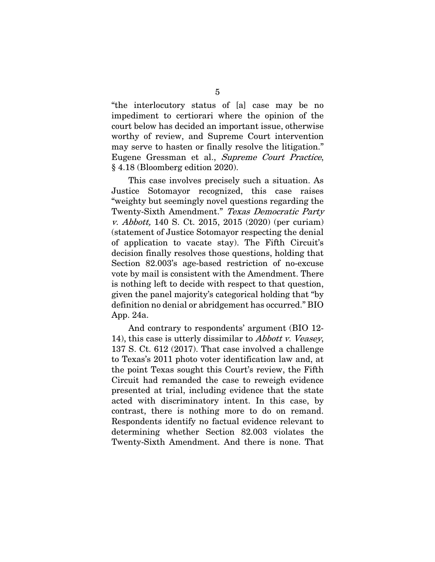"the interlocutory status of [a] case may be no impediment to certiorari where the opinion of the court below has decided an important issue, otherwise worthy of review, and Supreme Court intervention may serve to hasten or finally resolve the litigation." Eugene Gressman et al., Supreme Court Practice, § 4.18 (Bloomberg edition 2020).

This case involves precisely such a situation. As Justice Sotomayor recognized, this case raises "weighty but seemingly novel questions regarding the Twenty-Sixth Amendment." Texas Democratic Party v. Abbott, 140 S. Ct. 2015, 2015 (2020) (per curiam) (statement of Justice Sotomayor respecting the denial of application to vacate stay). The Fifth Circuit's decision finally resolves those questions, holding that Section 82.003's age-based restriction of no-excuse vote by mail is consistent with the Amendment. There is nothing left to decide with respect to that question, given the panel majority's categorical holding that "by definition no denial or abridgement has occurred." BIO App. 24a.

And contrary to respondents' argument (BIO 12- 14), this case is utterly dissimilar to *Abbott v. Veasey*, 137 S. Ct. 612 (2017). That case involved a challenge to Texas's 2011 photo voter identification law and, at the point Texas sought this Court's review, the Fifth Circuit had remanded the case to reweigh evidence presented at trial, including evidence that the state acted with discriminatory intent. In this case, by contrast, there is nothing more to do on remand. Respondents identify no factual evidence relevant to determining whether Section 82.003 violates the Twenty-Sixth Amendment. And there is none. That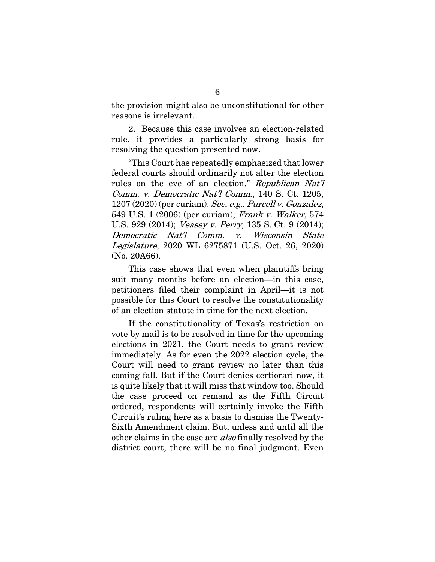the provision might also be unconstitutional for other reasons is irrelevant.

2. Because this case involves an election-related rule, it provides a particularly strong basis for resolving the question presented now.

"This Court has repeatedly emphasized that lower federal courts should ordinarily not alter the election rules on the eve of an election." Republican Nat'l Comm. v. Democratic Nat'l Comm., 140 S. Ct. 1205,  $1207 (2020)$  (per curiam). See, e.g., Purcell v. Gonzalez, 549 U.S. 1 (2006) (per curiam); Frank v. Walker, 574 U.S. 929 (2014); Veasey v. Perry, 135 S. Ct. 9 (2014); Democratic Nat'l Comm. v. Wisconsin State Legislature, 2020 WL 6275871 (U.S. Oct. 26, 2020) (No. 20A66).

This case shows that even when plaintiffs bring suit many months before an election—in this case, petitioners filed their complaint in April—it is not possible for this Court to resolve the constitutionality of an election statute in time for the next election.

If the constitutionality of Texas's restriction on vote by mail is to be resolved in time for the upcoming elections in 2021, the Court needs to grant review immediately. As for even the 2022 election cycle, the Court will need to grant review no later than this coming fall. But if the Court denies certiorari now, it is quite likely that it will miss that window too. Should the case proceed on remand as the Fifth Circuit ordered, respondents will certainly invoke the Fifth Circuit's ruling here as a basis to dismiss the Twenty-Sixth Amendment claim. But, unless and until all the other claims in the case are *also* finally resolved by the district court, there will be no final judgment. Even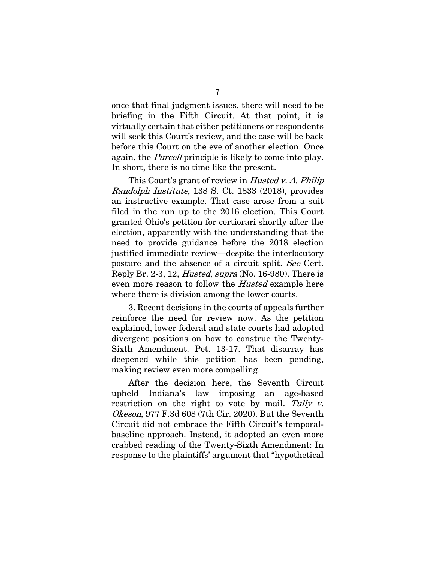once that final judgment issues, there will need to be briefing in the Fifth Circuit. At that point, it is virtually certain that either petitioners or respondents will seek this Court's review, and the case will be back before this Court on the eve of another election. Once again, the *Purcell* principle is likely to come into play. In short, there is no time like the present.

This Court's grant of review in *Husted v. A. Philip* Randolph Institute, 138 S. Ct. 1833 (2018), provides an instructive example. That case arose from a suit filed in the run up to the 2016 election. This Court granted Ohio's petition for certiorari shortly after the election, apparently with the understanding that the need to provide guidance before the 2018 election justified immediate review—despite the interlocutory posture and the absence of a circuit split. See Cert. Reply Br. 2-3, 12, *Husted, supra* (No. 16-980). There is even more reason to follow the *Husted* example here where there is division among the lower courts.

3. Recent decisions in the courts of appeals further reinforce the need for review now. As the petition explained, lower federal and state courts had adopted divergent positions on how to construe the Twenty-Sixth Amendment. Pet. 13-17. That disarray has deepened while this petition has been pending, making review even more compelling.

After the decision here, the Seventh Circuit upheld Indiana's law imposing an age-based restriction on the right to vote by mail. Tully  $v$ . Okeson, 977 F.3d 608 (7th Cir. 2020). But the Seventh Circuit did not embrace the Fifth Circuit's temporalbaseline approach. Instead, it adopted an even more crabbed reading of the Twenty-Sixth Amendment: In response to the plaintiffs' argument that "hypothetical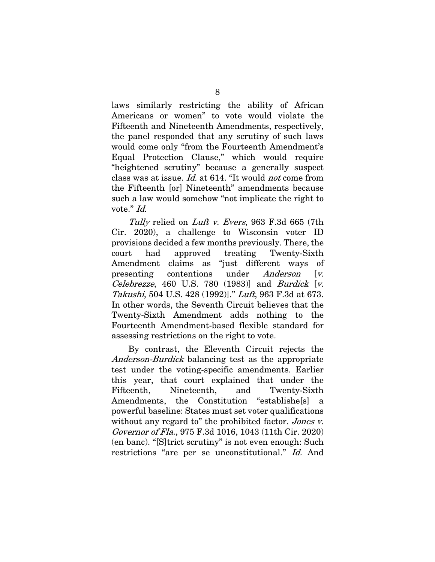laws similarly restricting the ability of African Americans or women" to vote would violate the Fifteenth and Nineteenth Amendments, respectively, the panel responded that any scrutiny of such laws would come only "from the Fourteenth Amendment's Equal Protection Clause," which would require "heightened scrutiny" because a generally suspect class was at issue. Id. at 614. "It would not come from the Fifteenth [or] Nineteenth" amendments because such a law would somehow "not implicate the right to vote." *Id.* 

Tully relied on Luft v. Evers, 963 F.3d 665 (7th Cir. 2020), a challenge to Wisconsin voter ID provisions decided a few months previously. There, the court had approved treating Twenty-Sixth Amendment claims as "just different ways of presenting contentions under *Anderson* [v. Celebrezze, 460 U.S. 780 (1983)] and Burdick [v. Takushi, 504 U.S. 428 (1992)]." Luft, 963 F.3d at 673. In other words, the Seventh Circuit believes that the Twenty-Sixth Amendment adds nothing to the Fourteenth Amendment-based flexible standard for assessing restrictions on the right to vote.

By contrast, the Eleventh Circuit rejects the Anderson-Burdick balancing test as the appropriate test under the voting-specific amendments. Earlier this year, that court explained that under the Fifteenth, Nineteenth, and Twenty-Sixth Amendments, the Constitution "establishe[s] a powerful baseline: States must set voter qualifications without any regard to" the prohibited factor. Jones v. Governor of Fla., 975 F.3d 1016, 1043 (11th Cir. 2020) (en banc). "[S]trict scrutiny" is not even enough: Such restrictions "are per se unconstitutional." Id. And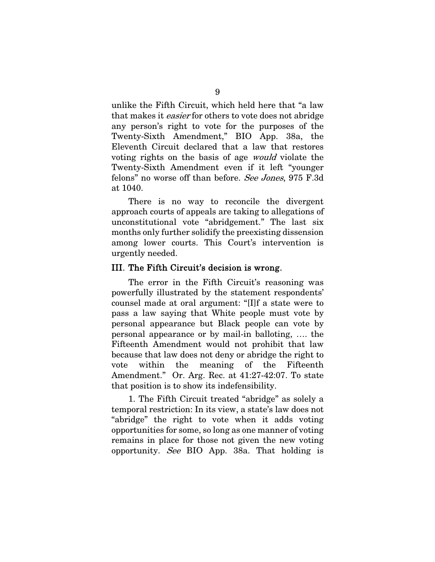unlike the Fifth Circuit, which held here that "a law that makes it easier for others to vote does not abridge any person's right to vote for the purposes of the Twenty-Sixth Amendment," BIO App. 38a, the Eleventh Circuit declared that a law that restores voting rights on the basis of age would violate the Twenty-Sixth Amendment even if it left "younger felons" no worse off than before. See Jones, 975 F.3d at 1040.

There is no way to reconcile the divergent approach courts of appeals are taking to allegations of unconstitutional vote "abridgement." The last six months only further solidify the preexisting dissension among lower courts. This Court's intervention is urgently needed.

#### III. The Fifth Circuit's decision is wrong.

The error in the Fifth Circuit's reasoning was powerfully illustrated by the statement respondents' counsel made at oral argument: "[I]f a state were to pass a law saying that White people must vote by personal appearance but Black people can vote by personal appearance or by mail-in balloting, …. the Fifteenth Amendment would not prohibit that law because that law does not deny or abridge the right to vote within the meaning of the Fifteenth Amendment." Or. Arg. Rec. at 41:27-42:07. To state that position is to show its indefensibility.

1. The Fifth Circuit treated "abridge" as solely a temporal restriction: In its view, a state's law does not "abridge" the right to vote when it adds voting opportunities for some, so long as one manner of voting remains in place for those not given the new voting opportunity. See BIO App. 38a. That holding is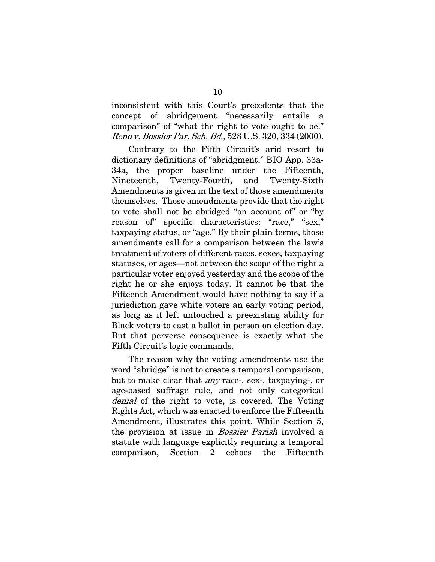inconsistent with this Court's precedents that the concept of abridgement "necessarily entails a comparison" of "what the right to vote ought to be." Reno v. Bossier Par. Sch. Bd., 528 U.S. 320, 334 (2000).

Contrary to the Fifth Circuit's arid resort to dictionary definitions of "abridgment," BIO App. 33a-34a, the proper baseline under the Fifteenth, Nineteenth, Twenty-Fourth, and Twenty-Sixth Amendments is given in the text of those amendments themselves. Those amendments provide that the right to vote shall not be abridged "on account of" or "by reason of" specific characteristics: "race," "sex," taxpaying status, or "age." By their plain terms, those amendments call for a comparison between the law's treatment of voters of different races, sexes, taxpaying statuses, or ages—not between the scope of the right a particular voter enjoyed yesterday and the scope of the right he or she enjoys today. It cannot be that the Fifteenth Amendment would have nothing to say if a jurisdiction gave white voters an early voting period, as long as it left untouched a preexisting ability for Black voters to cast a ballot in person on election day. But that perverse consequence is exactly what the Fifth Circuit's logic commands.

The reason why the voting amendments use the word "abridge" is not to create a temporal comparison, but to make clear that any race-, sex-, taxpaying-, or age-based suffrage rule, and not only categorical denial of the right to vote, is covered. The Voting Rights Act, which was enacted to enforce the Fifteenth Amendment, illustrates this point. While Section 5, the provision at issue in *Bossier Parish* involved a statute with language explicitly requiring a temporal comparison, Section 2 echoes the Fifteenth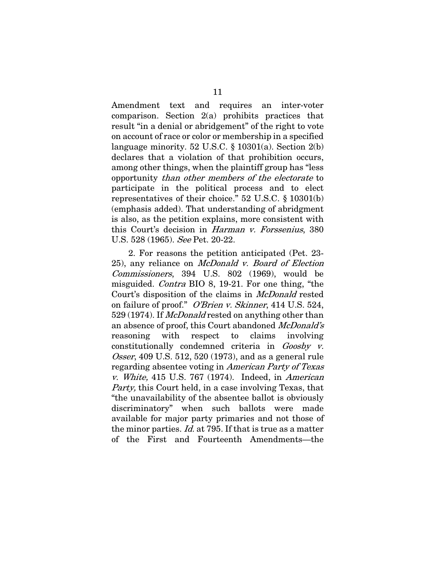Amendment text and requires an inter-voter comparison. Section 2(a) prohibits practices that result "in a denial or abridgement" of the right to vote on account of race or color or membership in a specified language minority. 52 U.S.C.  $\S$  10301(a). Section 2(b) declares that a violation of that prohibition occurs, among other things, when the plaintiff group has "less opportunity than other members of the electorate to participate in the political process and to elect representatives of their choice." 52 U.S.C. § 10301(b) (emphasis added). That understanding of abridgment is also, as the petition explains, more consistent with this Court's decision in Harman v. Forssenius, 380 U.S. 528 (1965). See Pet. 20-22.

2. For reasons the petition anticipated (Pet. 23- 25), any reliance on McDonald v. Board of Election Commissioners, 394 U.S. 802 (1969), would be misguided. Contra BIO 8, 19-21. For one thing, "the Court's disposition of the claims in *McDonald* rested on failure of proof." O'Brien v. Skinner, 414 U.S. 524, 529 (1974). If *McDonald* rested on anything other than an absence of proof, this Court abandoned McDonald's reasoning with respect to claims involving constitutionally condemned criteria in *Goosby v.* Osser, 409 U.S. 512, 520 (1973), and as a general rule regarding absentee voting in American Party of Texas v. White, 415 U.S. 767 (1974). Indeed, in American Party, this Court held, in a case involving Texas, that "the unavailability of the absentee ballot is obviously discriminatory" when such ballots were made available for major party primaries and not those of the minor parties. *Id.* at 795. If that is true as a matter of the First and Fourteenth Amendments—the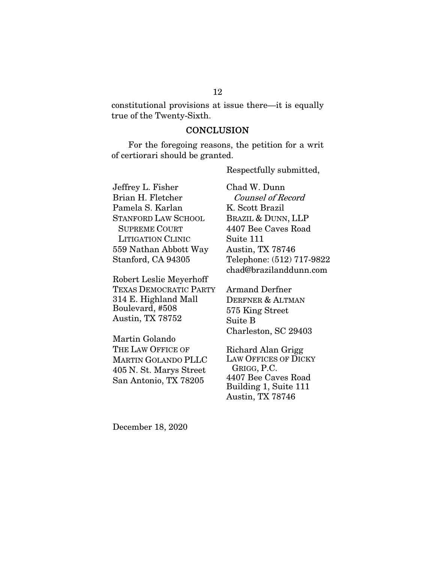constitutional provisions at issue there—it is equally true of the Twenty-Sixth.

#### **CONCLUSION**

For the foregoing reasons, the petition for a writ of certiorari should be granted.

Jeffrey L. Fisher Brian H. Fletcher Pamela S. Karlan STANFORD LAW SCHOOL SUPREME COURT LITIGATION CLINIC 559 Nathan Abbott Way Stanford, CA 94305

Robert Leslie Meyerhoff TEXAS DEMOCRATIC PARTY 314 E. Highland Mall Boulevard, #508 Austin, TX 78752

Martin Golando THE LAW OFFICE OF MARTIN GOLANDO PLLC 405 N. St. Marys Street San Antonio, TX 78205

Chad W. Dunn Counsel of Record K. Scott Brazil BRAZIL & DUNN, LLP 4407 Bee Caves Road Suite 111 Austin, TX 78746 Telephone: (512) 717-9822 chad@brazilanddunn.com

Respectfully submitted,

Armand Derfner DERFNER & ALTMAN 575 King Street Suite B Charleston, SC 29403

Richard Alan Grigg LAW OFFICES OF DICKY GRIGG, P.C. 4407 Bee Caves Road Building 1, Suite 111 Austin, TX 78746

December 18, 2020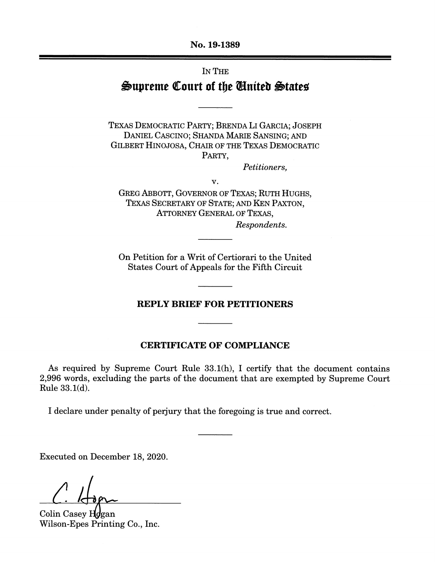No. 19-1389

# IN THE Supreme Court of the United States

TEXAS DEMOCRATIC PARTY; BRENDA LI GARCIA; JOSEPH DANIEL CASCINO; SHANDA MARIE SANSING; AND GILBERT HINOJOSA, CHAIR OF THE TEXAS DEMOCRATIC PARTY.

Petitioners,

v.

GREG ABBOTT, GOVERNOR OF TEXAS; RUTH HUGHS, TEXAS SECRETARY OF STATE; AND KEN PAXTON, **ATTORNEY GENERAL OF TEXAS.** Respondents.

On Petition for a Writ of Certiorari to the United States Court of Appeals for the Fifth Circuit

#### **REPLY BRIEF FOR PETITIONERS**

#### **CERTIFICATE OF COMPLIANCE**

As required by Supreme Court Rule 33.1(h), I certify that the document contains 2,996 words, excluding the parts of the document that are exempted by Supreme Court Rule 33.1(d).

I declare under penalty of perjury that the foregoing is true and correct.

Executed on December 18, 2020.

Colin Casey Hogan Wilson-Epes Printing Co., Inc.